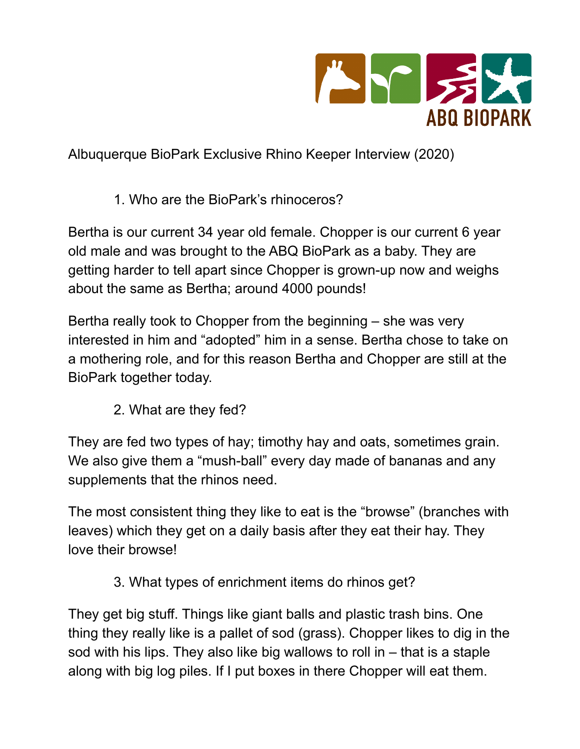

Albuquerque BioPark Exclusive Rhino Keeper Interview (2020)

1. Who are the BioPark's rhinoceros?

Bertha is our current 34 year old female. Chopper is our current 6 year old male and was brought to the ABQ BioPark as a baby. They are getting harder to tell apart since Chopper is grown-up now and weighs about the same as Bertha; around 4000 pounds!

Bertha really took to Chopper from the beginning – she was very interested in him and "adopted" him in a sense. Bertha chose to take on a mothering role, and for this reason Bertha and Chopper are still at the BioPark together today.

2. What are they fed?

They are fed two types of hay; timothy hay and oats, sometimes grain. We also give them a "mush-ball" every day made of bananas and any supplements that the rhinos need.

The most consistent thing they like to eat is the "browse" (branches with leaves) which they get on a daily basis after they eat their hay. They love their browse!

3. What types of enrichment items do rhinos get?

They get big stuff. Things like giant balls and plastic trash bins. One thing they really like is a pallet of sod (grass). Chopper likes to dig in the sod with his lips. They also like big wallows to roll in – that is a staple along with big log piles. If I put boxes in there Chopper will eat them.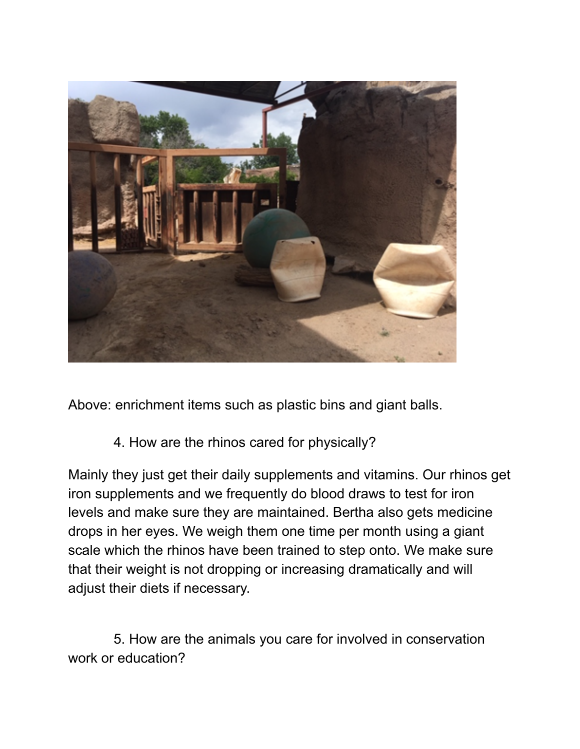

Above: enrichment items such as plastic bins and giant balls.

4. How are the rhinos cared for physically?

Mainly they just get their daily supplements and vitamins. Our rhinos get iron supplements and we frequently do blood draws to test for iron levels and make sure they are maintained. Bertha also gets medicine drops in her eyes. We weigh them one time per month using a giant scale which the rhinos have been trained to step onto. We make sure that their weight is not dropping or increasing dramatically and will adjust their diets if necessary.

5. How are the animals you care for involved in conservation work or education?